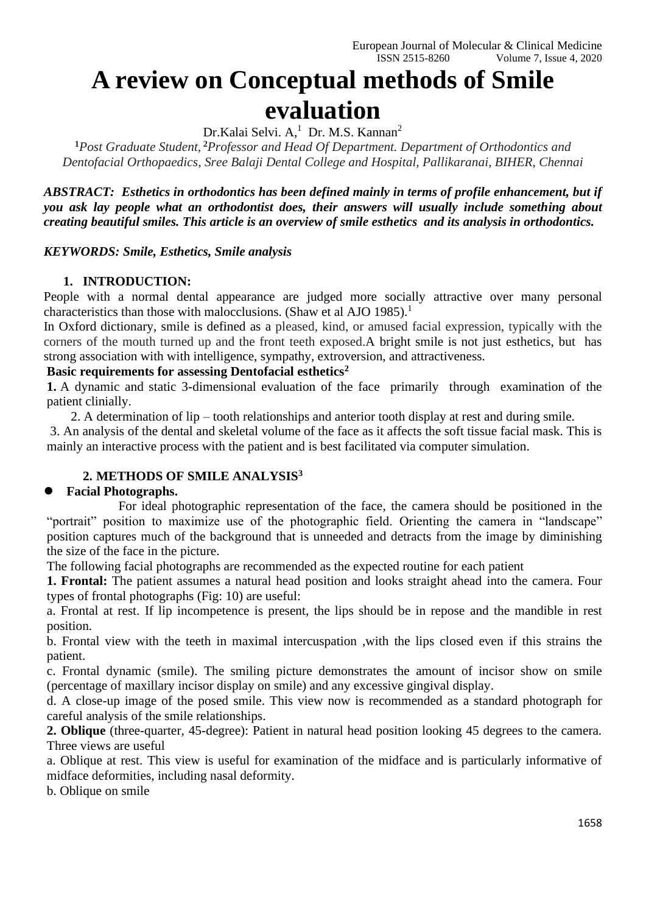# **A review on Conceptual methods of Smile evaluation**

Dr.Kalai Selvi. A,<sup>1</sup> Dr. M.S. Kannan<sup>2</sup>

**<sup>1</sup>***Post Graduate Student,* **<sup>2</sup>***Professor and Head Of Department. Department of Orthodontics and Dentofacial Orthopaedics, Sree Balaji Dental College and Hospital, Pallikaranai, BIHER, Chennai*

*ABSTRACT: Esthetics in orthodontics has been defined mainly in terms of profile enhancement, but if you ask lay people what an orthodontist does, their answers will usually include something about creating beautiful smiles. This article is an overview of smile esthetics and its analysis in orthodontics.*

*KEYWORDS: Smile, Esthetics, Smile analysis*

#### **1. INTRODUCTION:**

People with a normal dental appearance are judged more socially attractive over many personal characteristics than those with malocclusions. (Shaw et al AJO 1985).<sup>1</sup>

In Oxford dictionary, smile is defined as a pleased, kind, or amused facial expression, typically with the corners of the mouth turned up and the front teeth exposed.A bright smile is not just esthetics, but has strong association with with intelligence, sympathy, extroversion, and attractiveness.

#### **Basic requirements for assessing Dentofacial esthetics<sup>2</sup>**

**1.** A dynamic and static 3-dimensional evaluation of the face primarily through examination of the patient clinially.

2. A determination of lip – tooth relationships and anterior tooth display at rest and during smile.

3. An analysis of the dental and skeletal volume of the face as it affects the soft tissue facial mask. This is mainly an interactive process with the patient and is best facilitated via computer simulation.

## **2. METHODS OF SMILE ANALYSIS<sup>3</sup>**

#### ⚫ **Facial Photographs.**

For ideal photographic representation of the face, the camera should be positioned in the "portrait" position to maximize use of the photographic field. Orienting the camera in "landscape" position captures much of the background that is unneeded and detracts from the image by diminishing the size of the face in the picture.

The following facial photographs are recommended as the expected routine for each patient

**1. Frontal:** The patient assumes a natural head position and looks straight ahead into the camera. Four types of frontal photographs (Fig: 10) are useful:

a. Frontal at rest. If lip incompetence is present, the lips should be in repose and the mandible in rest position.

b. Frontal view with the teeth in maximal intercuspation ,with the lips closed even if this strains the patient.

c. Frontal dynamic (smile). The smiling picture demonstrates the amount of incisor show on smile (percentage of maxillary incisor display on smile) and any excessive gingival display.

d. A close-up image of the posed smile. This view now is recommended as a standard photograph for careful analysis of the smile relationships.

**2. Oblique** (three-quarter, 45-degree): Patient in natural head position looking 45 degrees to the camera. Three views are useful

a. Oblique at rest. This view is useful for examination of the midface and is particularly informative of midface deformities, including nasal deformity.

b. Oblique on smile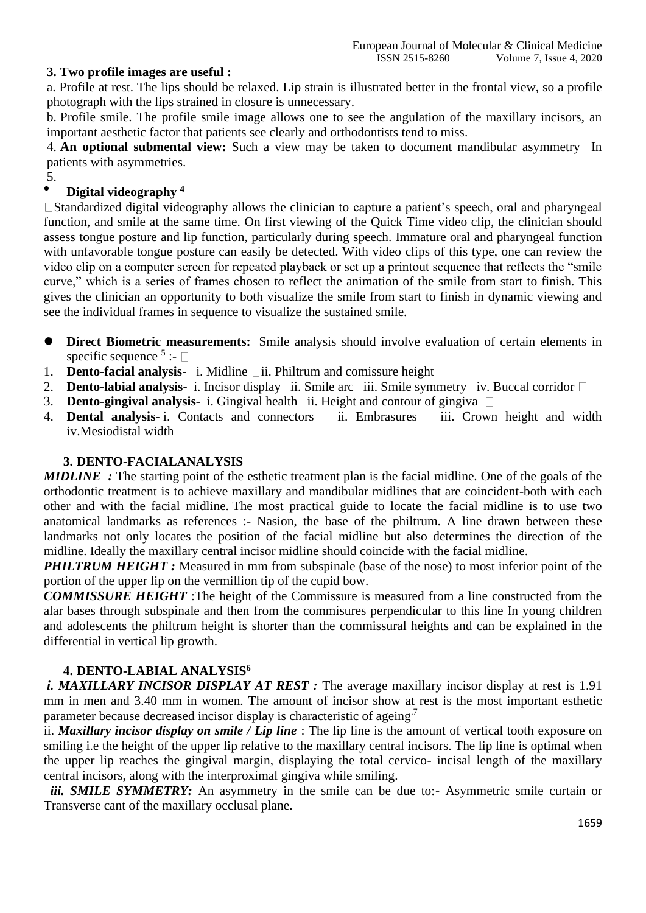#### **3. Two profile images are useful :**

a. Profile at rest. The lips should be relaxed. Lip strain is illustrated better in the frontal view, so a profile photograph with the lips strained in closure is unnecessary.

b. Profile smile. The profile smile image allows one to see the angulation of the maxillary incisors, an important aesthetic factor that patients see clearly and orthodontists tend to miss.

4. **An optional submental view:** Such a view may be taken to document mandibular asymmetry In patients with asymmetries.

5.

## ⚫ **Digital videography <sup>4</sup>**

Standardized digital videography allows the clinician to capture a patient's speech, oral and pharyngeal function, and smile at the same time. On first viewing of the Quick Time video clip, the clinician should assess tongue posture and lip function, particularly during speech. Immature oral and pharyngeal function with unfavorable tongue posture can easily be detected. With video clips of this type, one can review the video clip on a computer screen for repeated playback or set up a printout sequence that reflects the "smile curve," which is a series of frames chosen to reflect the animation of the smile from start to finish. This gives the clinician an opportunity to both visualize the smile from start to finish in dynamic viewing and see the individual frames in sequence to visualize the sustained smile.

- ⚫ **Direct Biometric measurements:** Smile analysis should involve evaluation of certain elements in specific sequence  $5$ :
- 1. **Dento-facial analysis-** i. Midline  $\Box$ ii. Philtrum and comissure height
- 2. **Dento-labial analysis-** i. Incisor display ii. Smile arc iii. Smile symmetry iv. Buccal corridor
- 3. **Dento-gingival analysis-** i. Gingival health ii. Height and contour of gingiva
- 4. **Dental analysis-** i. Contacts and connectors ii. Embrasures iii. Crown height and width iv.Mesiodistal width

#### **3. DENTO-FACIALANALYSIS**

*MIDLINE :* The starting point of the esthetic treatment plan is the facial midline. One of the goals of the orthodontic treatment is to achieve maxillary and mandibular midlines that are coincident-both with each other and with the facial midline. The most practical guide to locate the facial midline is to use two anatomical landmarks as references :- Nasion, the base of the philtrum. A line drawn between these landmarks not only locates the position of the facial midline but also determines the direction of the midline. Ideally the maxillary central incisor midline should coincide with the facial midline.

*PHILTRUM HEIGHT*: Measured in mm from subspinale (base of the nose) to most inferior point of the portion of the upper lip on the vermillion tip of the cupid bow.

*COMMISSURE HEIGHT* :The height of the Commissure is measured from a line constructed from the alar bases through subspinale and then from the commisures perpendicular to this line In young children and adolescents the philtrum height is shorter than the commissural heights and can be explained in the differential in vertical lip growth.

#### **4. DENTO-LABIAL ANALYSIS<sup>6</sup>**

*i. MAXILLARY INCISOR DISPLAY AT REST :* The average maxillary incisor display at rest is 1.91 mm in men and 3.40 mm in women. The amount of incisor show at rest is the most important esthetic parameter because decreased incisor display is characteristic of ageing.<sup>7</sup>

ii. *Maxillary incisor display on smile / Lip line* : The lip line is the amount of vertical tooth exposure on smiling i.e the height of the upper lip relative to the maxillary central incisors. The lip line is optimal when the upper lip reaches the gingival margin, displaying the total cervico- incisal length of the maxillary central incisors, along with the interproximal gingiva while smiling.

*[i](https://image.slidesharecdn.com/lec-170517040022/95/smile-analysis-in-orthodontics-18-638.jpg?cb=1494993840)ii. SMILE SYMMETRY:* An asymmetry in the smile can be due to:- Asymmetric smile curtain or Transverse cant of the maxillary occlusal plane.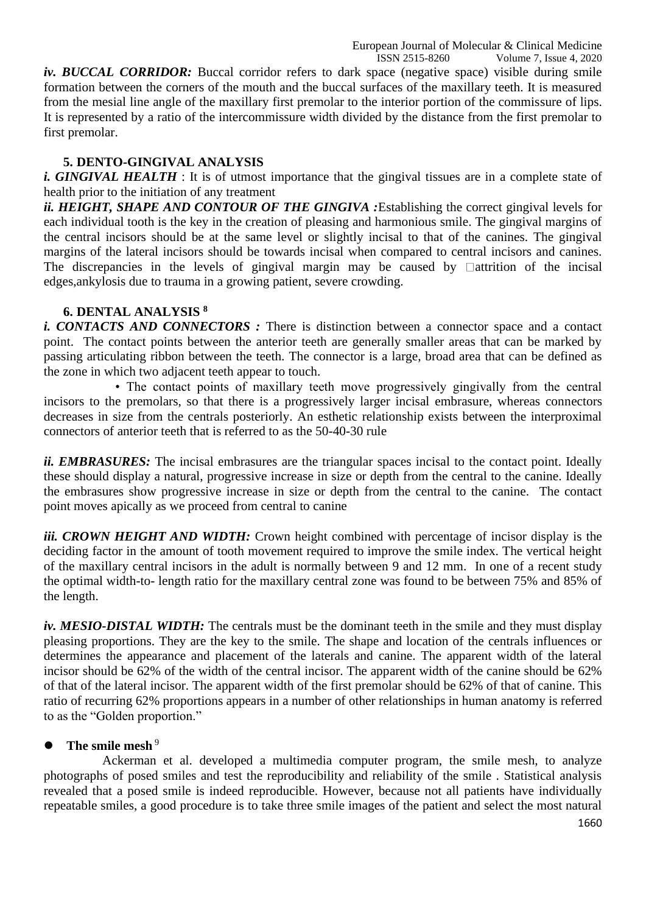ISSN 2515-8260 Volume 7, Issue 4, 2020 iv. BUCCAL CORRIDOR: Buccal corridor refers to dark space (negative space) visible during smile formation between the corners of the mouth and the buccal surfaces of the maxillary teeth. It is measured from the mesial line angle of the maxillary first premolar to the interior portion of the commissure of lips. It is represented by a ratio of the intercommissure width divided by the distance from the first premolar to first premolar.

## **5. DENTO-GINGIVAL ANALYSIS**

*i. GINGIVAL HEALTH* : It is of utmost importance that the gingival tissues are in a complete state of health prior to the initiation of any treatment

*ii. HEIGHT, SHAPE AND CONTOUR OF THE GINGIVA :*Establishing the correct gingival levels for each individual tooth is the key in the creation of pleasing and harmonious smile. The gingival margins of the central incisors should be at the same level or slightly incisal to that of the canines. The gingival margins of the lateral incisors should be towards incisal when compared to central incisors and canines. The discrepancies in the levels of gingival margin may be caused by  $\Box$  attrition of the incisal edges,ankylosis due to trauma in a growing patient, severe crowding.

### **6. DENTAL ANALYSIS <sup>8</sup>**

*i. CONTACTS AND CONNECTORS :* There is distinction between a connector space and a contact point. The contact points between the anterior teeth are generally smaller areas that can be marked by passing articulating ribbon between the teeth. The connector is a large, broad area that can be defined as the zone in which two adjacent teeth appear to touch.

• The contact points of maxillary teeth move progressively gingivally from the central incisors to the premolars, so that there is a progressively larger incisal embrasure, whereas connectors decreases in size from the centrals posteriorly. An esthetic relationship exists between the interproximal connectors of anterior teeth that is referred to as the 50-40-30 rule

*ii. EMBRASURES:* The incisal embrasures are the triangular spaces incisal to the contact point. Ideally these should display a natural, progressive increase in size or depth from the central to the canine. Ideally the embrasures show progressive increase in size or depth from the central to the canine. The contact point moves apically as we proceed from central to canine

*iii. CROWN HEIGHT AND WIDTH:* Crown height combined with percentage of incisor display is the deciding factor in the amount of tooth movement required to improve the smile index. The vertical height of the maxillary central incisors in the adult is normally between 9 and 12 mm. In one of a recent study the optimal width-to- length ratio for the maxillary central zone was found to be between 75% and 85% of the length.

*iv. MESIO-DISTAL WIDTH:* The centrals must be the dominant teeth in the smile and they must display pleasing proportions. They are the key to the smile. The shape and location of the centrals influences or determines the appearance and placement of the laterals and canine. The apparent width of the lateral incisor should be 62% of the width of the central incisor. The apparent width of the canine should be 62% of that of the lateral incisor. The apparent width of the first premolar should be 62% of that of canine. This ratio of recurring 62% proportions appears in a number of other relationships in human anatomy is referred to as the "Golden proportion."

## The smile mesh<sup>9</sup>

Ackerman et al. developed a multimedia computer program, the smile mesh, to analyze photographs of posed smiles and test the reproducibility and reliability of the smile . Statistical analysis revealed that a posed smile is indeed reproducible. However, because not all patients have individually repeatable smiles, a good procedure is to take three smile images of the patient and select the most natural